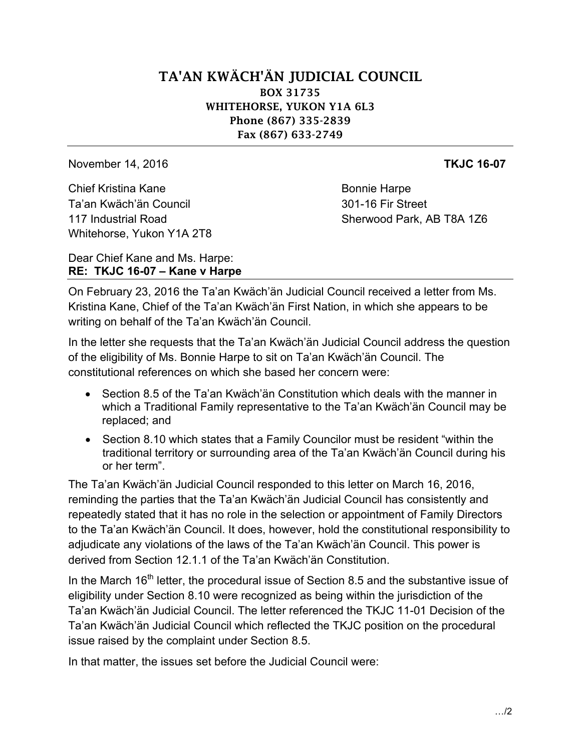## TA'AN KWÄCH'ÄN JUDICIAL COUNCIL BOX 31735 WHITEHORSE, YUKON Y1A 6L3 Phone (867) 335-2839 Fax (867) 633-2749

November 14, 2016 **TKJC 16-07**

Chief Kristina Kane Bonnie Harpe Ta'an Kwäch'än Council 301-16 Fir Street Whitehorse, Yukon Y1A 2T8

117 Industrial Road Sherwood Park, AB T8A 1Z6

Dear Chief Kane and Ms. Harpe: **RE: TKJC 16-07 – Kane v Harpe**

On February 23, 2016 the Ta'an Kwäch'än Judicial Council received a letter from Ms. Kristina Kane, Chief of the Ta'an Kwäch'än First Nation, in which she appears to be writing on behalf of the Ta'an Kwäch'än Council.

In the letter she requests that the Ta'an Kwäch'än Judicial Council address the question of the eligibility of Ms. Bonnie Harpe to sit on Ta'an Kwäch'än Council. The constitutional references on which she based her concern were:

- Section 8.5 of the Ta'an Kwäch'än Constitution which deals with the manner in which a Traditional Family representative to the Ta'an Kwäch'än Council may be replaced; and
- Section 8.10 which states that a Family Councilor must be resident "within the traditional territory or surrounding area of the Ta'an Kwäch'än Council during his or her term".

The Ta'an Kwäch'än Judicial Council responded to this letter on March 16, 2016, reminding the parties that the Ta'an Kwäch'än Judicial Council has consistently and repeatedly stated that it has no role in the selection or appointment of Family Directors to the Ta'an Kwäch'än Council. It does, however, hold the constitutional responsibility to adjudicate any violations of the laws of the Ta'an Kwäch'än Council. This power is derived from Section 12.1.1 of the Ta'an Kwäch'än Constitution.

In the March  $16<sup>th</sup>$  letter, the procedural issue of Section 8.5 and the substantive issue of eligibility under Section 8.10 were recognized as being within the jurisdiction of the Ta'an Kwäch'än Judicial Council. The letter referenced the TKJC 11-01 Decision of the Ta'an Kwäch'än Judicial Council which reflected the TKJC position on the procedural issue raised by the complaint under Section 8.5.

In that matter, the issues set before the Judicial Council were: